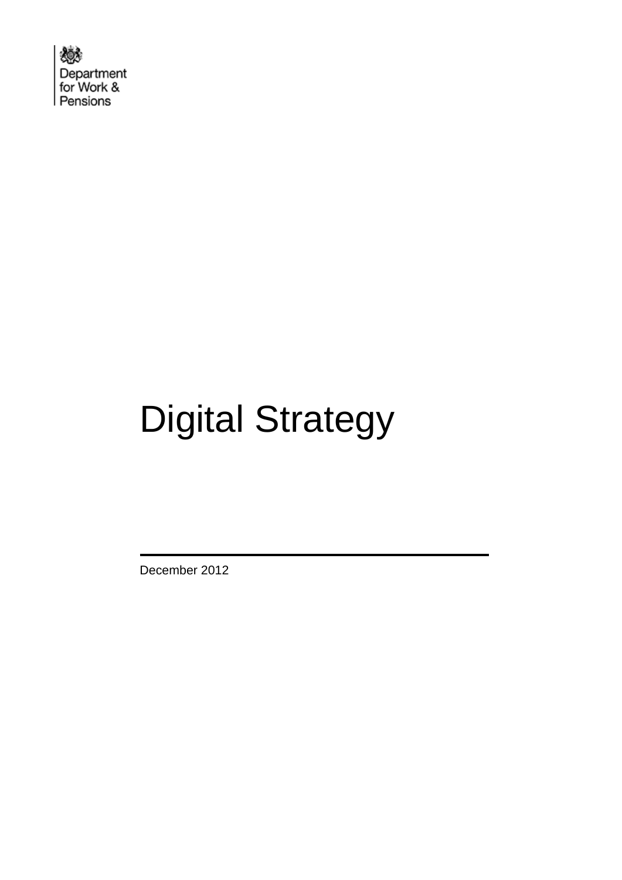欢 Department for Work & Pensions

# Digital Strategy

December 2012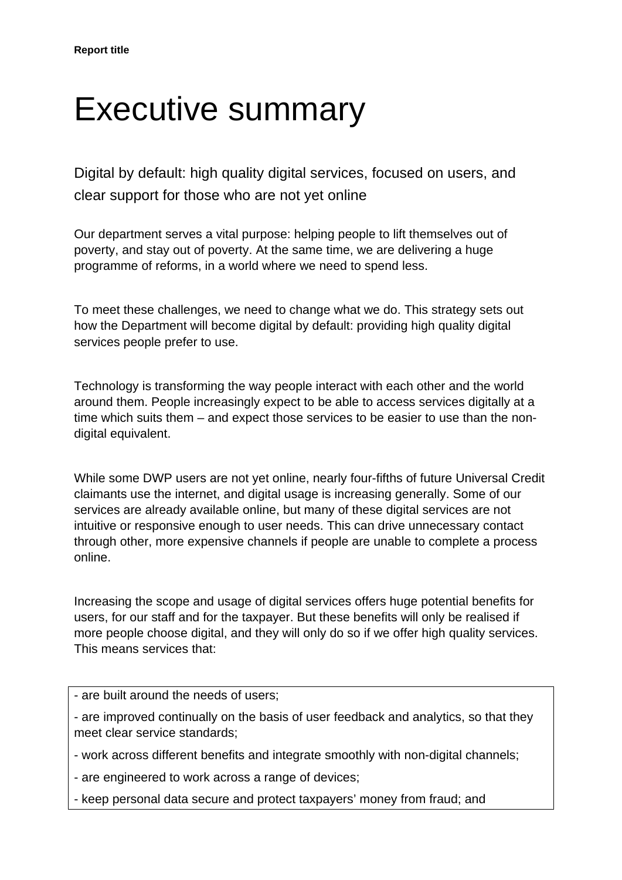## Executive summary

Digital by default: high quality digital services, focused on users, and clear support for those who are not yet online

Our department serves a vital purpose: helping people to lift themselves out of poverty, and stay out of poverty. At the same time, we are delivering a huge programme of reforms, in a world where we need to spend less.

To meet these challenges, we need to change what we do. This strategy sets out how the Department will become digital by default: providing high quality digital services people prefer to use.

Technology is transforming the way people interact with each other and the world around them. People increasingly expect to be able to access services digitally at a time which suits them – and expect those services to be easier to use than the nondigital equivalent.

While some DWP users are not yet online, nearly four-fifths of future Universal Credit claimants use the internet, and digital usage is increasing generally. Some of our services are already available online, but many of these digital services are not intuitive or responsive enough to user needs. This can drive unnecessary contact through other, more expensive channels if people are unable to complete a process online.

Increasing the scope and usage of digital services offers huge potential benefits for users, for our staff and for the taxpayer. But these benefits will only be realised if more people choose digital, and they will only do so if we offer high quality services. This means services that:

- are built around the needs of users;

- are improved continually on the basis of user feedback and analytics, so that they meet clear service standards;

- work across different benefits and integrate smoothly with non-digital channels;

- are engineered to work across a range of devices;

- keep personal data secure and protect taxpayers' money from fraud; and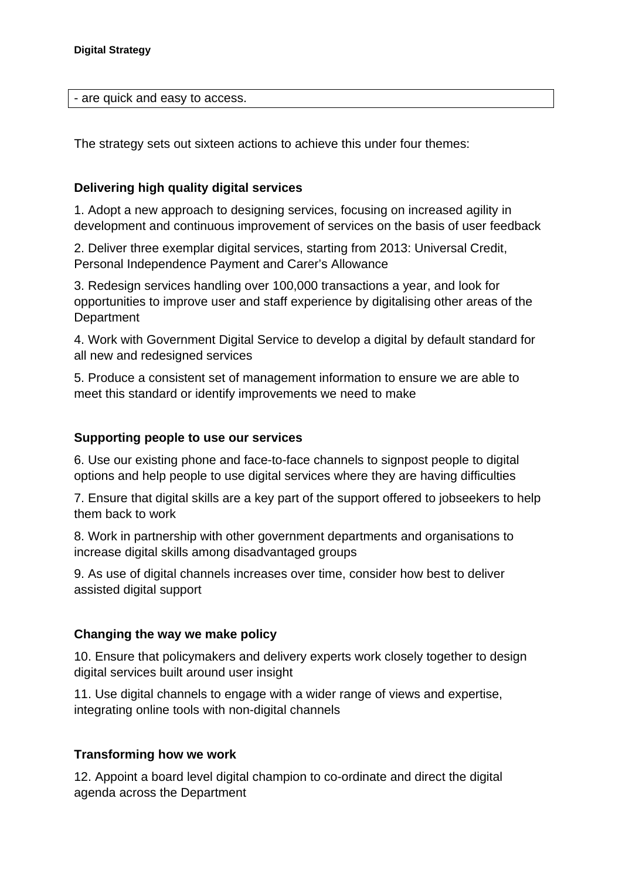- are quick and easy to access.

The strategy sets out sixteen actions to achieve this under four themes:

#### **Delivering high quality digital services**

1. Adopt a new approach to designing services, focusing on increased agility in development and continuous improvement of services on the basis of user feedback

2. Deliver three exemplar digital services, starting from 2013: Universal Credit, Personal Independence Payment and Carer's Allowance

3. Redesign services handling over 100,000 transactions a year, and look for opportunities to improve user and staff experience by digitalising other areas of the **Department** 

4. Work with Government Digital Service to develop a digital by default standard for all new and redesigned services

5. Produce a consistent set of management information to ensure we are able to meet this standard or identify improvements we need to make

#### **Supporting people to use our services**

6. Use our existing phone and face-to-face channels to signpost people to digital options and help people to use digital services where they are having difficulties

7. Ensure that digital skills are a key part of the support offered to jobseekers to help them back to work

8. Work in partnership with other government departments and organisations to increase digital skills among disadvantaged groups

9. As use of digital channels increases over time, consider how best to deliver assisted digital support

#### **Changing the way we make policy**

10. Ensure that policymakers and delivery experts work closely together to design digital services built around user insight

11. Use digital channels to engage with a wider range of views and expertise, integrating online tools with non-digital channels

#### **Transforming how we work**

12. Appoint a board level digital champion to co-ordinate and direct the digital agenda across the Department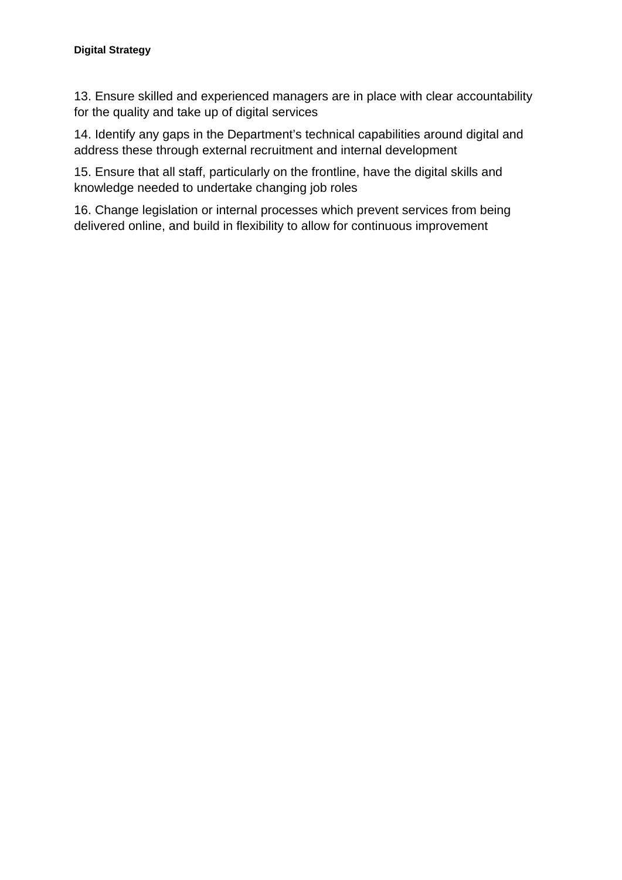#### **Digital Strategy**

13. Ensure skilled and experienced managers are in place with clear accountability for the quality and take up of digital services

14. Identify any gaps in the Department's technical capabilities around digital and address these through external recruitment and internal development

15. Ensure that all staff, particularly on the frontline, have the digital skills and knowledge needed to undertake changing job roles

16. Change legislation or internal processes which prevent services from being delivered online, and build in flexibility to allow for continuous improvement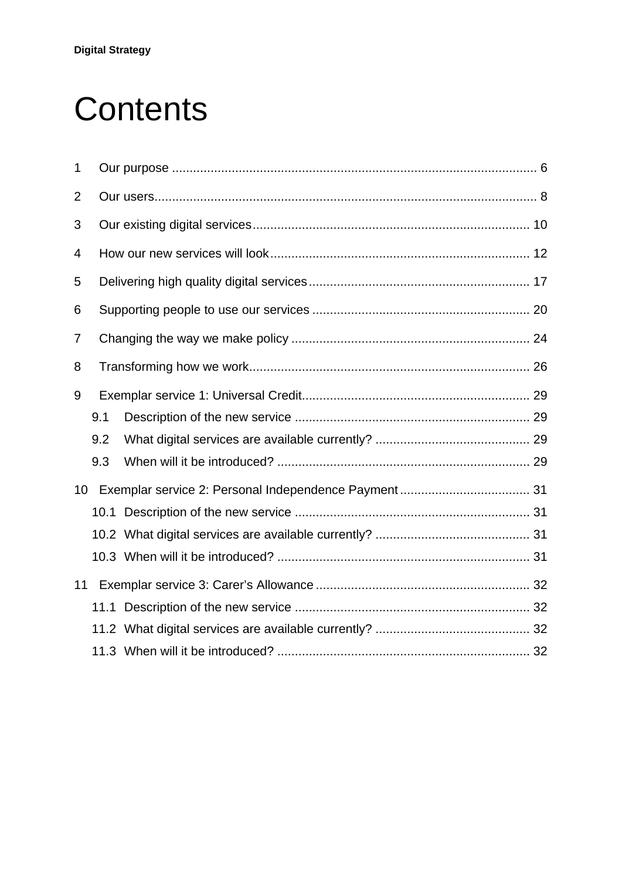# **Contents**

| 1              |     |  |  |  |  |  |
|----------------|-----|--|--|--|--|--|
| $\overline{2}$ |     |  |  |  |  |  |
| 3              |     |  |  |  |  |  |
| 4              |     |  |  |  |  |  |
| 5              |     |  |  |  |  |  |
| 6              |     |  |  |  |  |  |
| 7              |     |  |  |  |  |  |
| 8              |     |  |  |  |  |  |
| 9              |     |  |  |  |  |  |
|                | 9.1 |  |  |  |  |  |
|                | 9.2 |  |  |  |  |  |
|                | 9.3 |  |  |  |  |  |
|                |     |  |  |  |  |  |
|                |     |  |  |  |  |  |
|                |     |  |  |  |  |  |
|                |     |  |  |  |  |  |
| 11             |     |  |  |  |  |  |
|                |     |  |  |  |  |  |
|                |     |  |  |  |  |  |
|                |     |  |  |  |  |  |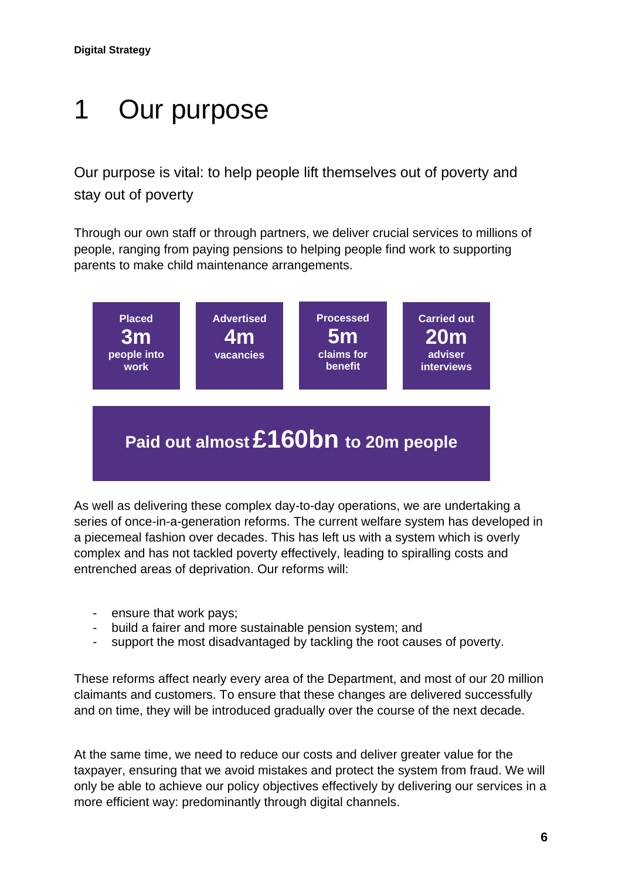## <span id="page-5-0"></span>1 Our purpose

Our purpose is vital: to help people lift themselves out of poverty and stay out of poverty

Through our own staff or through partners, we deliver crucial services to millions of people, ranging from paying pensions to helping people find work to supporting parents to make child maintenance arrangements.



As well as delivering these complex day-to-day operations, we are undertaking a series of once-in-a-generation reforms. The current welfare system has developed in a piecemeal fashion over decades. This has left us with a system which is overly complex and has not tackled poverty effectively, leading to spiralling costs and entrenched areas of deprivation. Our reforms will:

- ensure that work pays;
- build a fairer and more sustainable pension system; and
- support the most disadvantaged by tackling the root causes of poverty.

These reforms affect nearly every area of the Department, and most of our 20 million claimants and customers. To ensure that these changes are delivered successfully and on time, they will be introduced gradually over the course of the next decade.

At the same time, we need to reduce our costs and deliver greater value for the taxpayer, ensuring that we avoid mistakes and protect the system from fraud. We will only be able to achieve our policy objectives effectively by delivering our services in a more efficient way: predominantly through digital channels.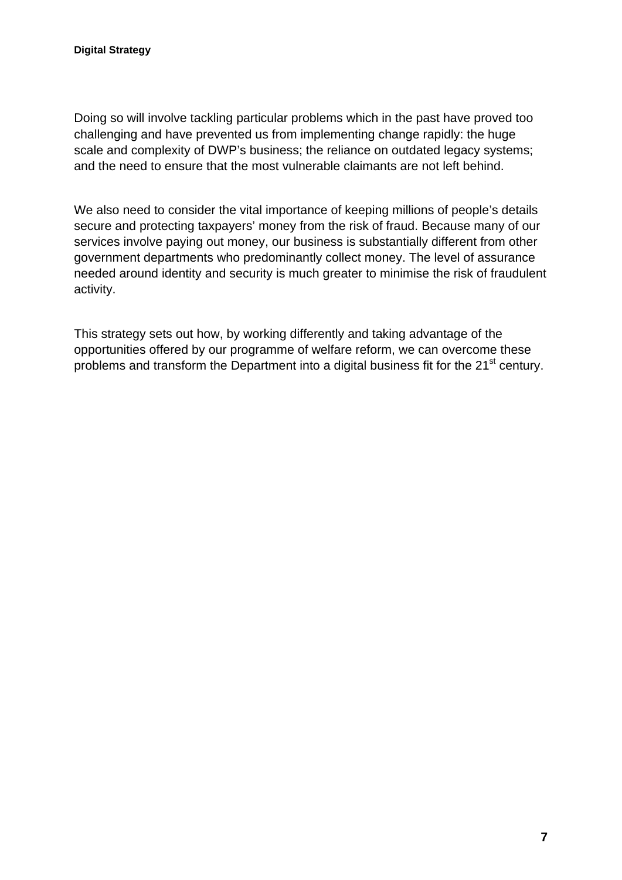Doing so will involve tackling particular problems which in the past have proved too challenging and have prevented us from implementing change rapidly: the huge scale and complexity of DWP's business; the reliance on outdated legacy systems; and the need to ensure that the most vulnerable claimants are not left behind.

We also need to consider the vital importance of keeping millions of people's details secure and protecting taxpayers' money from the risk of fraud. Because many of our services involve paying out money, our business is substantially different from other government departments who predominantly collect money. The level of assurance needed around identity and security is much greater to minimise the risk of fraudulent activity.

This strategy sets out how, by working differently and taking advantage of the opportunities offered by our programme of welfare reform, we can overcome these problems and transform the Department into a digital business fit for the 21<sup>st</sup> century.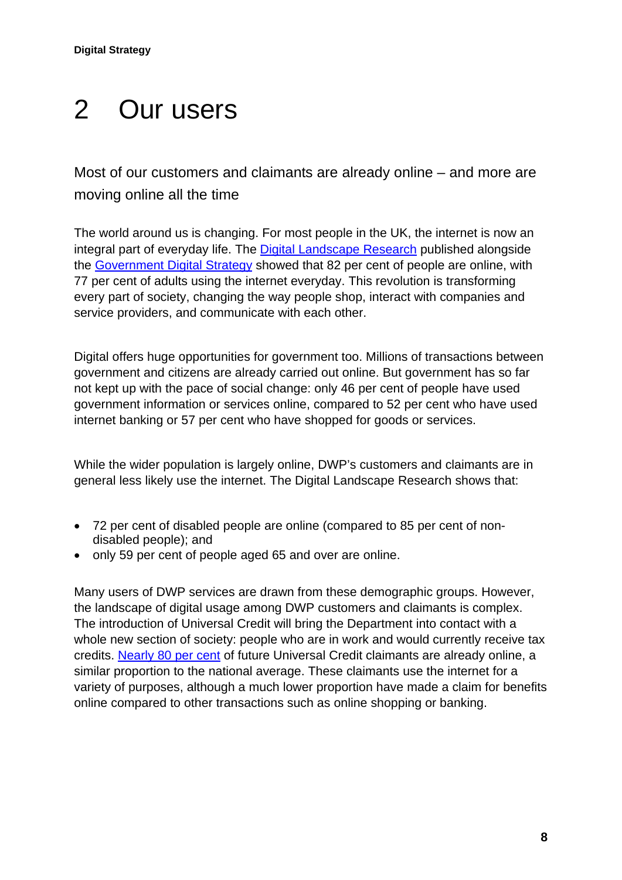## <span id="page-7-0"></span>2 Our users

Most of our customers and claimants are already online – and more are moving online all the time

The world around us is changing. For most people in the UK, the internet is now an integral part of everyday life. The [Digital Landscape Research](http://publications.cabinetoffice.gov.uk/digital/research/#uk-digital-landscape) published alongside the [Government Digital Strategy](http://publications.cabinetoffice.gov.uk/digital/strategy/) showed that 82 per cent of people are online, with 77 per cent of adults using the internet everyday. This revolution is transforming every part of society, changing the way people shop, interact with companies and service providers, and communicate with each other.

Digital offers huge opportunities for government too. Millions of transactions between government and citizens are already carried out online. But government has so far not kept up with the pace of social change: only 46 per cent of people have used government information or services online, compared to 52 per cent who have used internet banking or 57 per cent who have shopped for goods or services.

While the wider population is largely online, DWP's customers and claimants are in general less likely use the internet. The Digital Landscape Research shows that:

- 72 per cent of disabled people are online (compared to 85 per cent of nondisabled people); and
- only 59 per cent of people aged 65 and over are online.

Many users of DWP services are drawn from these demographic groups. However, the landscape of digital usage among DWP customers and claimants is complex. The introduction of Universal Credit will bring the Department into contact with a whole new section of society: people who are in work and would currently receive tax credits. [Nearly 80 per cent](http://research.dwp.gov.uk/asd/asd5/rports2011-2012/rrep800.pdf) of future Universal Credit claimants are already online, a similar proportion to the national average. These claimants use the internet for a variety of purposes, although a much lower proportion have made a claim for benefits online compared to other transactions such as online shopping or banking.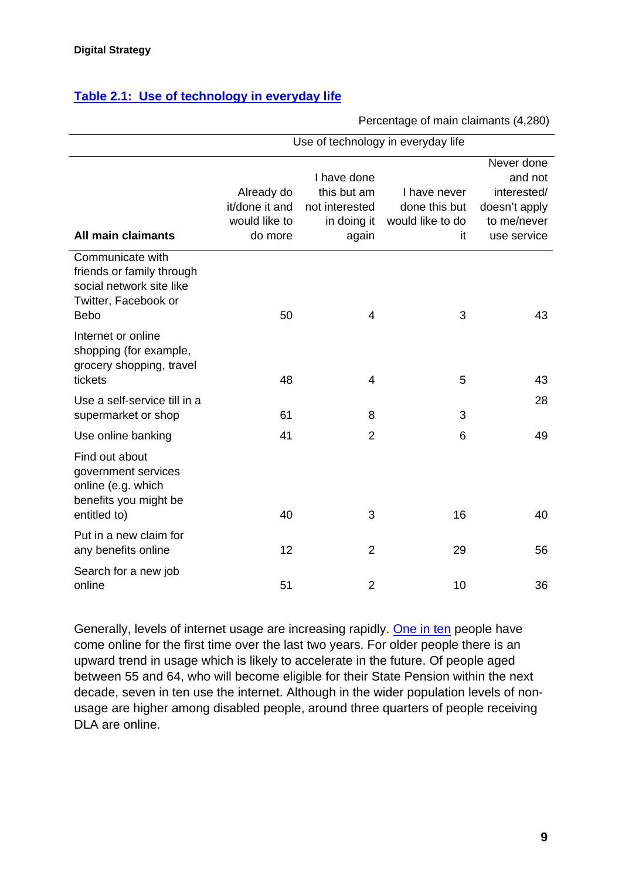#### **[Table 2.1: Use of technology in everyday life](http://research.dwp.gov.uk/asd/asd5/rports2011-2012/rrep800.pdf)**

#### Percentage of main claimants (4,280)

|                                                                                                                  | Use of technology in everyday life                       |                                                                      |                                                         |                                                                                     |  |
|------------------------------------------------------------------------------------------------------------------|----------------------------------------------------------|----------------------------------------------------------------------|---------------------------------------------------------|-------------------------------------------------------------------------------------|--|
| All main claimants                                                                                               | Already do<br>it/done it and<br>would like to<br>do more | I have done<br>this but am<br>not interested<br>in doing it<br>again | I have never<br>done this but<br>would like to do<br>it | Never done<br>and not<br>interested/<br>doesn't apply<br>to me/never<br>use service |  |
| Communicate with<br>friends or family through<br>social network site like<br>Twitter, Facebook or<br><b>Bebo</b> | 50                                                       | 4                                                                    | 3                                                       | 43                                                                                  |  |
| Internet or online<br>shopping (for example,<br>grocery shopping, travel<br>tickets                              | 48                                                       | 4                                                                    | 5                                                       | 43                                                                                  |  |
| Use a self-service till in a<br>supermarket or shop                                                              | 61                                                       | 8                                                                    | 3                                                       | 28                                                                                  |  |
| Use online banking<br>Find out about<br>government services<br>online (e.g. which<br>benefits you might be       | 41                                                       | $\overline{2}$                                                       | 6                                                       | 49                                                                                  |  |
| entitled to)<br>Put in a new claim for<br>any benefits online                                                    | 40<br>12                                                 | 3<br>$\overline{2}$                                                  | 16<br>29                                                | 40<br>56                                                                            |  |
| Search for a new job<br>online                                                                                   | 51                                                       | $\overline{2}$                                                       | 10                                                      | 36                                                                                  |  |

Generally, levels of internet usage are increasing rapidly. [One in ten](http://downloads.bbc.co.uk/learning/learningoverview/bbcmedialiteracy_26072012.pdf) people have come online for the first time over the last two years. For older people there is an upward trend in usage which is likely to accelerate in the future. Of people aged between 55 and 64, who will become eligible for their State Pension within the next decade, seven in ten use the internet. Although in the wider population levels of nonusage are higher among disabled people, around three quarters of people receiving DLA are online.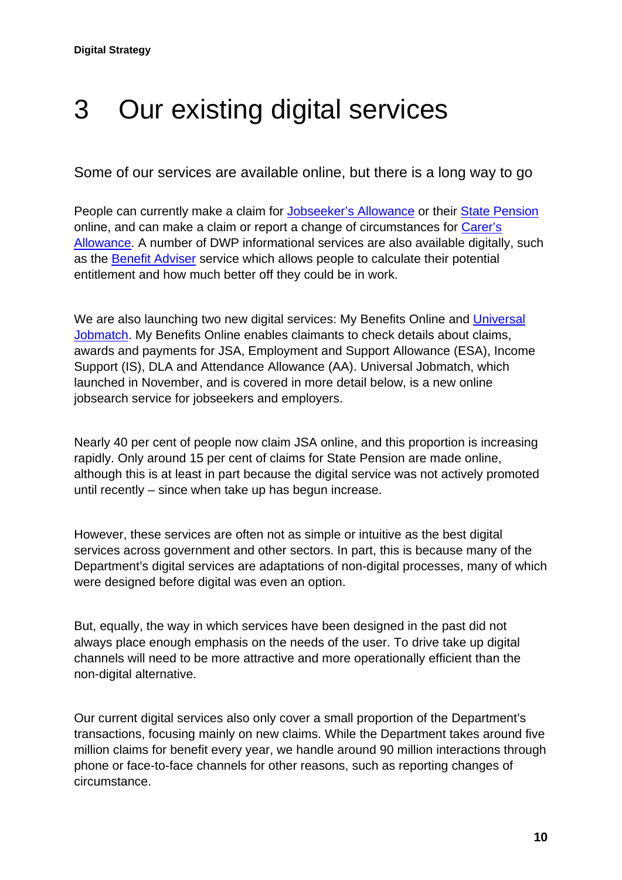### <span id="page-9-0"></span>3 Our existing digital services

Some of our services are available online, but there is a long way to go

People can currently make a claim for [Jobseeker's Allowance](https://www.gov.uk/jobseekers-allowance/how-to-claim) or their [State Pension](https://www.gov.uk/claim-state-pension-online) online, and can make a claim or report a change of circumstances for [Carer's](https://www.gov.uk/carers-allowance/how-to-claim)  [Allowance.](https://www.gov.uk/carers-allowance/how-to-claim) A number of DWP informational services are also available digitally, such as the [Benefit Adviser](https://www.gov.uk/benefits-adviser) service which allows people to calculate their potential entitlement and how much better off they could be in work.

We are also launching two new digital services: My Benefits Online and Universal [Jobmatch.](https://www.gov.uk/jobs-jobsearch) My Benefits Online enables claimants to check details about claims, awards and payments for JSA, Employment and Support Allowance (ESA), Income Support (IS), DLA and Attendance Allowance (AA). Universal Jobmatch, which launched in November, and is covered in more detail below, is a new online jobsearch service for jobseekers and employers.

Nearly 40 per cent of people now claim JSA online, and this proportion is increasing rapidly. Only around 15 per cent of claims for State Pension are made online, although this is at least in part because the digital service was not actively promoted until recently – since when take up has begun increase.

However, these services are often not as simple or intuitive as the best digital services across government and other sectors. In part, this is because many of the Department's digital services are adaptations of non-digital processes, many of which were designed before digital was even an option.

But, equally, the way in which services have been designed in the past did not always place enough emphasis on the needs of the user. To drive take up digital channels will need to be more attractive and more operationally efficient than the non-digital alternative.

Our current digital services also only cover a small proportion of the Department's transactions, focusing mainly on new claims. While the Department takes around five million claims for benefit every year, we handle around 90 million interactions through phone or face-to-face channels for other reasons, such as reporting changes of circumstance.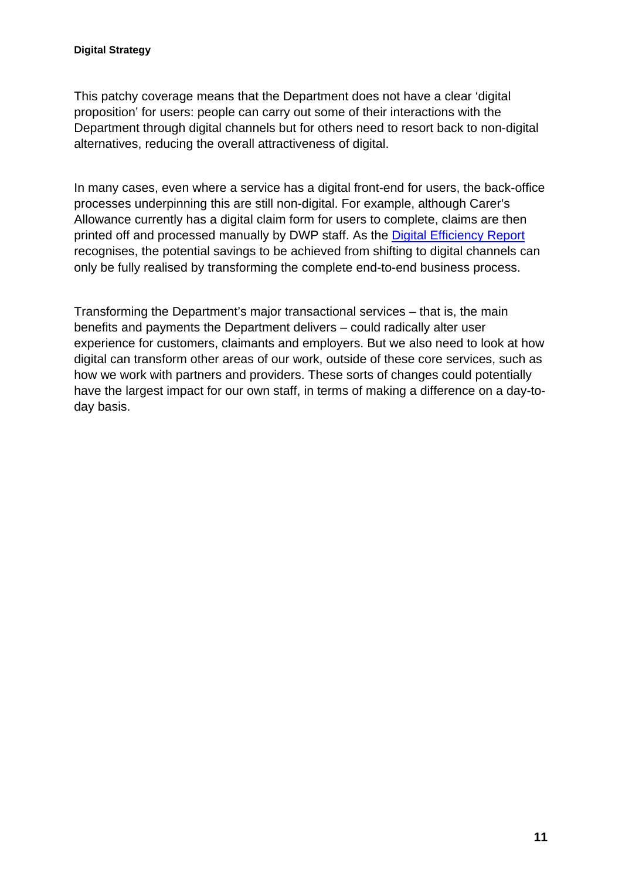This patchy coverage means that the Department does not have a clear 'digital proposition' for users: people can carry out some of their interactions with the Department through digital channels but for others need to resort back to non-digital alternatives, reducing the overall attractiveness of digital.

In many cases, even where a service has a digital front-end for users, the back-office processes underpinning this are still non-digital. For example, although Carer's Allowance currently has a digital claim form for users to complete, claims are then printed off and processed manually by DWP staff. As the [Digital Efficiency Report](http://publications.cabinetoffice.gov.uk/digital/efficiency/) recognises, the potential savings to be achieved from shifting to digital channels can only be fully realised by transforming the complete end-to-end business process.

Transforming the Department's major transactional services – that is, the main benefits and payments the Department delivers – could radically alter user experience for customers, claimants and employers. But we also need to look at how digital can transform other areas of our work, outside of these core services, such as how we work with partners and providers. These sorts of changes could potentially have the largest impact for our own staff, in terms of making a difference on a day-today basis.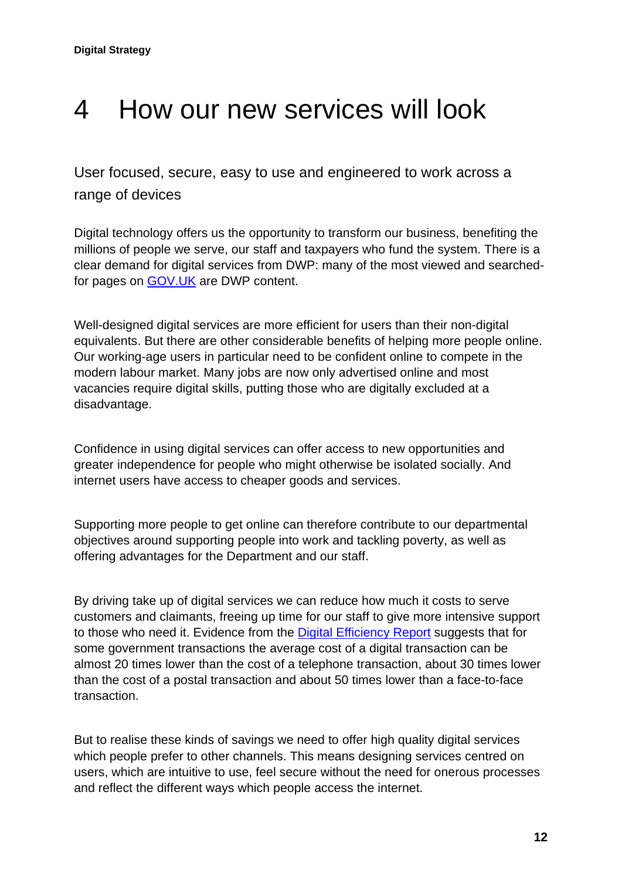### <span id="page-11-0"></span>4 How our new services will look

User focused, secure, easy to use and engineered to work across a range of devices

Digital technology offers us the opportunity to transform our business, benefiting the millions of people we serve, our staff and taxpayers who fund the system. There is a clear demand for digital services from DWP: many of the most viewed and searchedfor pages on [GOV.UK](https://www.gov.uk/) are DWP content.

Well-designed digital services are more efficient for users than their non-digital equivalents. But there are other considerable benefits of helping more people online. Our working-age users in particular need to be confident online to compete in the modern labour market. Many jobs are now only advertised online and most vacancies require digital skills, putting those who are digitally excluded at a disadvantage.

Confidence in using digital services can offer access to new opportunities and greater independence for people who might otherwise be isolated socially. And internet users have access to cheaper goods and services.

Supporting more people to get online can therefore contribute to our departmental objectives around supporting people into work and tackling poverty, as well as offering advantages for the Department and our staff.

By driving take up of digital services we can reduce how much it costs to serve customers and claimants, freeing up time for our staff to give more intensive support to those who need it. Evidence from the [Digital Efficiency Report](http://publications.cabinetoffice.gov.uk/digital/efficiency/) suggests that for some government transactions the average cost of a digital transaction can be almost 20 times lower than the cost of a telephone transaction, about 30 times lower than the cost of a postal transaction and about 50 times lower than a face-to-face transaction.

But to realise these kinds of savings we need to offer high quality digital services which people prefer to other channels. This means designing services centred on users, which are intuitive to use, feel secure without the need for onerous processes and reflect the different ways which people access the internet.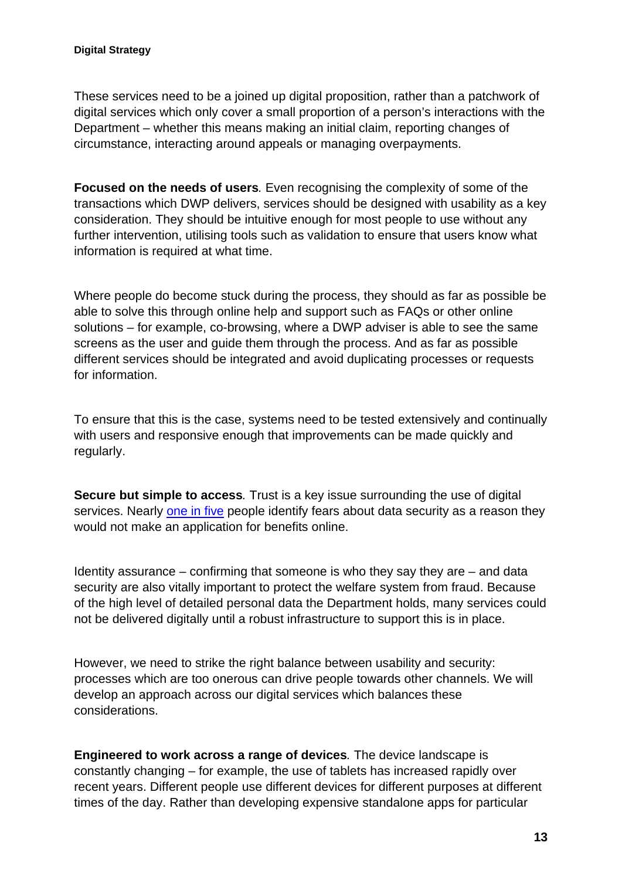These services need to be a joined up digital proposition, rather than a patchwork of digital services which only cover a small proportion of a person's interactions with the Department – whether this means making an initial claim, reporting changes of circumstance, interacting around appeals or managing overpayments.

**Focused on the needs of users***.* Even recognising the complexity of some of the transactions which DWP delivers, services should be designed with usability as a key consideration. They should be intuitive enough for most people to use without any further intervention, utilising tools such as validation to ensure that users know what information is required at what time.

Where people do become stuck during the process, they should as far as possible be able to solve this through online help and support such as FAQs or other online solutions – for example, co-browsing, where a DWP adviser is able to see the same screens as the user and guide them through the process. And as far as possible different services should be integrated and avoid duplicating processes or requests for information.

To ensure that this is the case, systems need to be tested extensively and continually with users and responsive enough that improvements can be made quickly and regularly.

**Secure but simple to access***.* Trust is a key issue surrounding the use of digital services. Nearly [one in five](http://research.dwp.gov.uk/asd/asd5/rports2011-2012/rrep800.pdf) people identify fears about data security as a reason they would not make an application for benefits online.

Identity assurance – confirming that someone is who they say they are – and data security are also vitally important to protect the welfare system from fraud. Because of the high level of detailed personal data the Department holds, many services could not be delivered digitally until a robust infrastructure to support this is in place.

However, we need to strike the right balance between usability and security: processes which are too onerous can drive people towards other channels. We will develop an approach across our digital services which balances these considerations.

**Engineered to work across a range of devices***.* The device landscape is constantly changing – for example, the use of tablets has increased rapidly over recent years. Different people use different devices for different purposes at different times of the day. Rather than developing expensive standalone apps for particular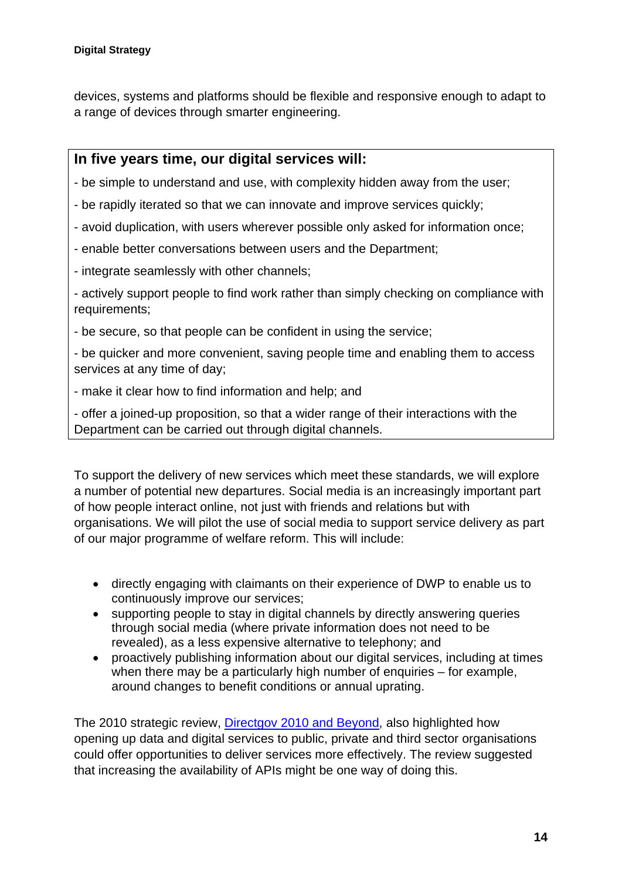devices, systems and platforms should be flexible and responsive enough to adapt to a range of devices through smarter engineering.

#### **In five years time, our digital services will:**

- be simple to understand and use, with complexity hidden away from the user;
- be rapidly iterated so that we can innovate and improve services quickly;
- avoid duplication, with users wherever possible only asked for information once;
- enable better conversations between users and the Department;
- integrate seamlessly with other channels;

- actively support people to find work rather than simply checking on compliance with requirements;

- be secure, so that people can be confident in using the service;

- be quicker and more convenient, saving people time and enabling them to access services at any time of day;

- make it clear how to find information and help; and

- offer a joined-up proposition, so that a wider range of their interactions with the Department can be carried out through digital channels.

To support the delivery of new services which meet these standards, we will explore a number of potential new departures. Social media is an increasingly important part of how people interact online, not just with friends and relations but with organisations. We will pilot the use of social media to support service delivery as part of our major programme of welfare reform. This will include:

- directly engaging with claimants on their experience of DWP to enable us to continuously improve our services;
- supporting people to stay in digital channels by directly answering queries through social media (where private information does not need to be revealed), as a less expensive alternative to telephony; and
- proactively publishing information about our digital services, including at times when there may be a particularly high number of enquiries – for example, around changes to benefit conditions or annual uprating.

The 2010 strategic review, [Directgov 2010 and Beyond](http://www.cabinetoffice.gov.uk/resource-library/directgov-2010-and-beyond-revolution-not-evolution), also highlighted how opening up data and digital services to public, private and third sector organisations could offer opportunities to deliver services more effectively. The review suggested that increasing the availability of APIs might be one way of doing this.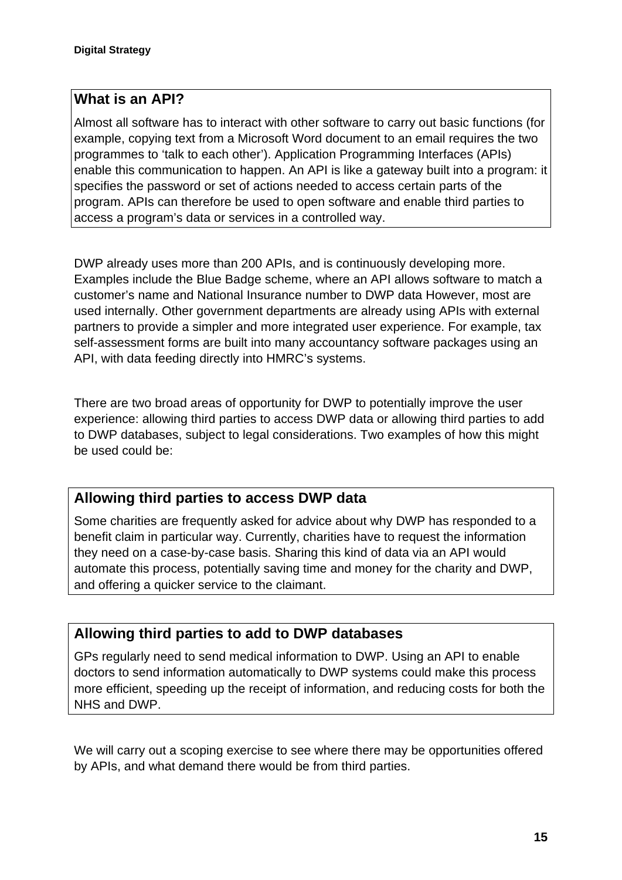#### **What is an API?**

Almost all software has to interact with other software to carry out basic functions (for example, copying text from a Microsoft Word document to an email requires the two programmes to 'talk to each other'). Application Programming Interfaces (APIs) enable this communication to happen. An API is like a gateway built into a program: it specifies the password or set of actions needed to access certain parts of the program. APIs can therefore be used to open software and enable third parties to access a program's data or services in a controlled way.

DWP already uses more than 200 APIs, and is continuously developing more. Examples include the Blue Badge scheme, where an API allows software to match a customer's name and National Insurance number to DWP data However, most are used internally. Other government departments are already using APIs with external partners to provide a simpler and more integrated user experience. For example, tax self-assessment forms are built into many accountancy software packages using an API, with data feeding directly into HMRC's systems.

There are two broad areas of opportunity for DWP to potentially improve the user experience: allowing third parties to access DWP data or allowing third parties to add to DWP databases, subject to legal considerations. Two examples of how this might be used could be:

#### **Allowing third parties to access DWP data**

Some charities are frequently asked for advice about why DWP has responded to a benefit claim in particular way. Currently, charities have to request the information they need on a case-by-case basis. Sharing this kind of data via an API would automate this process, potentially saving time and money for the charity and DWP, and offering a quicker service to the claimant.

#### **Allowing third parties to add to DWP databases**

GPs regularly need to send medical information to DWP. Using an API to enable doctors to send information automatically to DWP systems could make this process more efficient, speeding up the receipt of information, and reducing costs for both the NHS and DWP.

We will carry out a scoping exercise to see where there may be opportunities offered by APIs, and what demand there would be from third parties.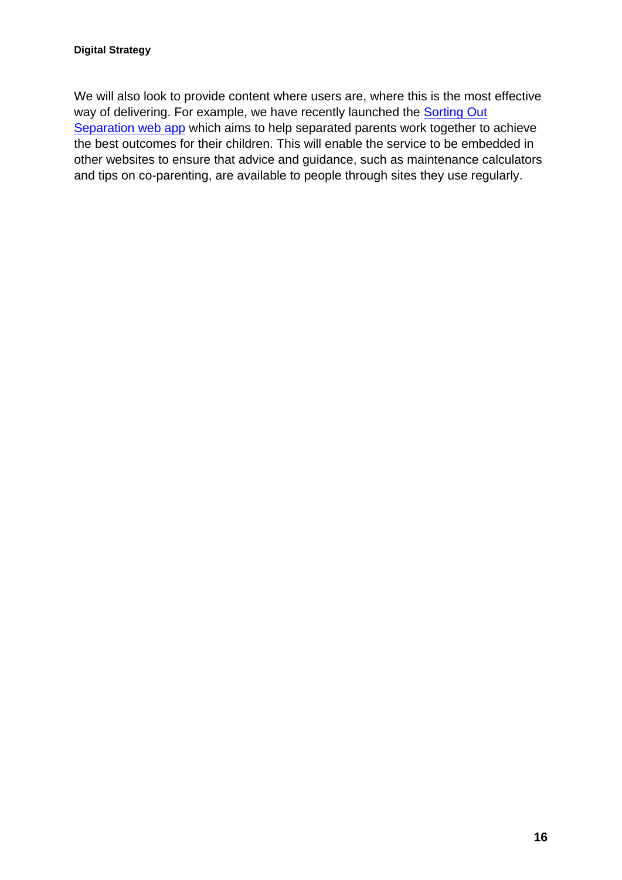We will also look to provide content where users are, where this is the most effective way of delivering. For example, we have recently launched the **Sorting Out** [Separation web app](http://www.cmoptions.org/en/sortingoutseparation/index.asp) which aims to help separated parents work together to achieve the best outcomes for their children. This will enable the service to be embedded in other websites to ensure that advice and guidance, such as maintenance calculators and tips on co-parenting, are available to people through sites they use regularly.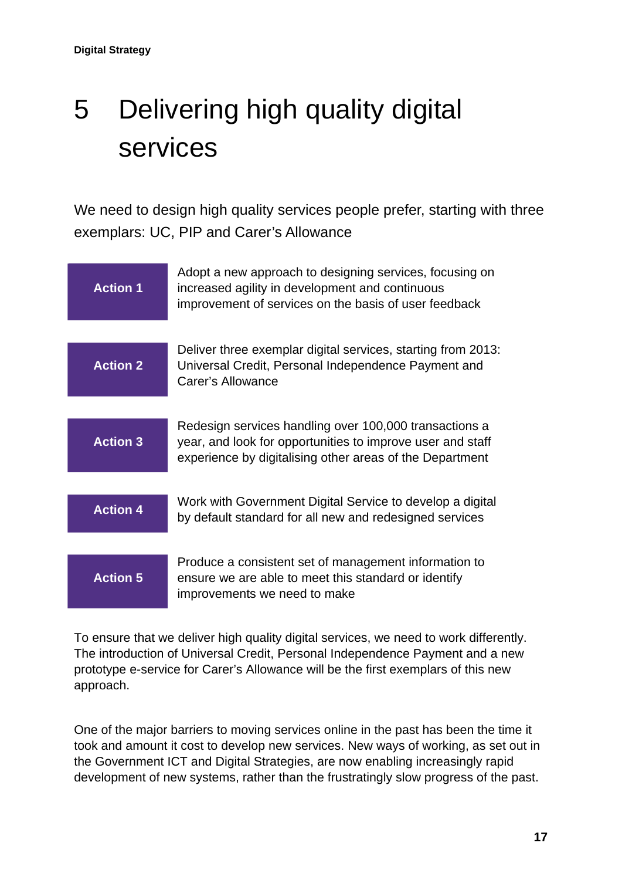## <span id="page-16-0"></span>5 Delivering high quality digital services

We need to design high quality services people prefer, starting with three exemplars: UC, PIP and Carer's Allowance



To ensure that we deliver high quality digital services, we need to work differently. The introduction of Universal Credit, Personal Independence Payment and a new prototype e-service for Carer's Allowance will be the first exemplars of this new approach.

One of the major barriers to moving services online in the past has been the time it took and amount it cost to develop new services. New ways of working, as set out in the Government ICT and Digital Strategies, are now enabling increasingly rapid development of new systems, rather than the frustratingly slow progress of the past.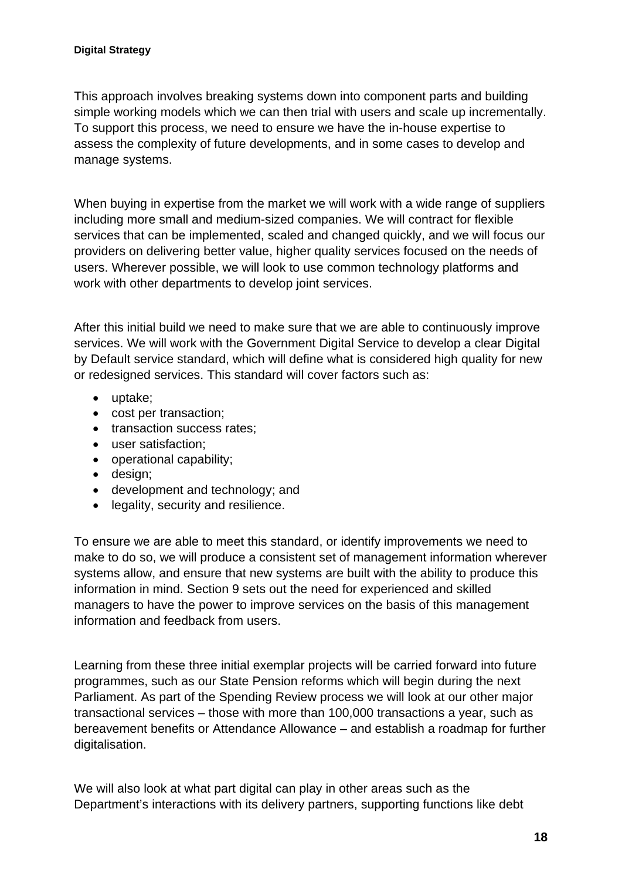This approach involves breaking systems down into component parts and building simple working models which we can then trial with users and scale up incrementally. To support this process, we need to ensure we have the in-house expertise to assess the complexity of future developments, and in some cases to develop and manage systems.

When buying in expertise from the market we will work with a wide range of suppliers including more small and medium-sized companies. We will contract for flexible services that can be implemented, scaled and changed quickly, and we will focus our providers on delivering better value, higher quality services focused on the needs of users. Wherever possible, we will look to use common technology platforms and work with other departments to develop joint services.

After this initial build we need to make sure that we are able to continuously improve services. We will work with the Government Digital Service to develop a clear Digital by Default service standard, which will define what is considered high quality for new or redesigned services. This standard will cover factors such as:

- uptake;
- cost per transaction;
- transaction success rates;
- user satisfaction;
- operational capability;
- design;
- development and technology; and
- legality, security and resilience.

To ensure we are able to meet this standard, or identify improvements we need to make to do so, we will produce a consistent set of management information wherever systems allow, and ensure that new systems are built with the ability to produce this information in mind. Section 9 sets out the need for experienced and skilled managers to have the power to improve services on the basis of this management information and feedback from users.

Learning from these three initial exemplar projects will be carried forward into future programmes, such as our State Pension reforms which will begin during the next Parliament. As part of the Spending Review process we will look at our other major transactional services – those with more than 100,000 transactions a year, such as bereavement benefits or Attendance Allowance – and establish a roadmap for further digitalisation.

We will also look at what part digital can play in other areas such as the Department's interactions with its delivery partners, supporting functions like debt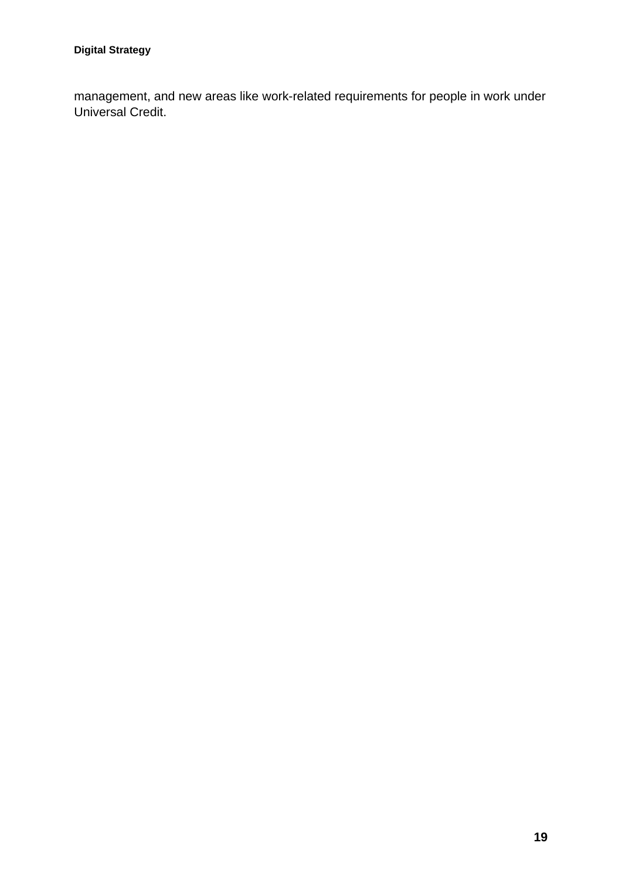management, and new areas like work-related requirements for people in work under Universal Credit.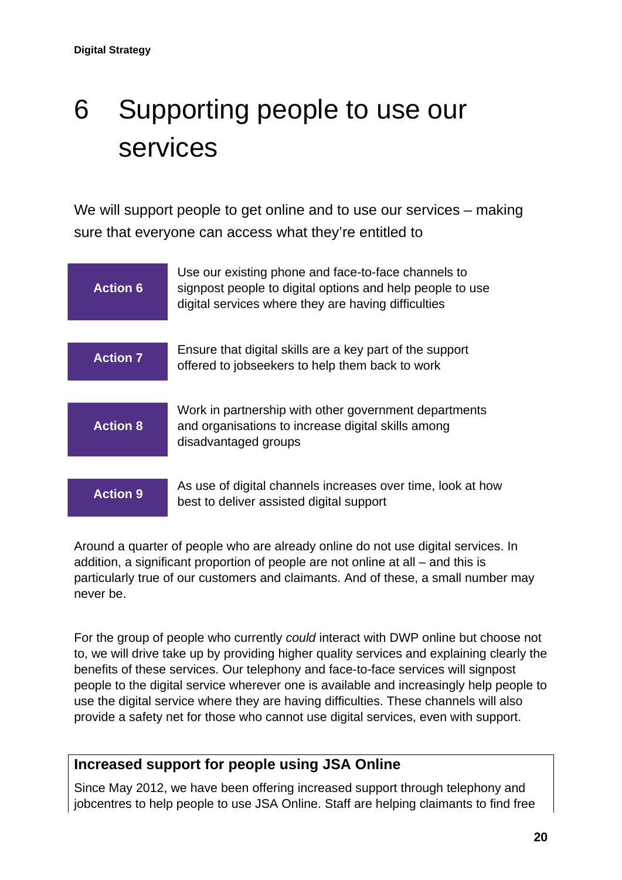## <span id="page-19-0"></span>6 Supporting people to use our services

We will support people to get online and to use our services – making sure that everyone can access what they're entitled to



Around a quarter of people who are already online do not use digital services. In addition, a significant proportion of people are not online at all – and this is particularly true of our customers and claimants. And of these, a small number may never be.

For the group of people who currently *could* interact with DWP online but choose not to, we will drive take up by providing higher quality services and explaining clearly the benefits of these services. Our telephony and face-to-face services will signpost people to the digital service wherever one is available and increasingly help people to use the digital service where they are having difficulties. These channels will also provide a safety net for those who cannot use digital services, even with support.

#### **Increased support for people using JSA Online**

Since May 2012, we have been offering increased support through telephony and jobcentres to help people to use JSA Online. Staff are helping claimants to find free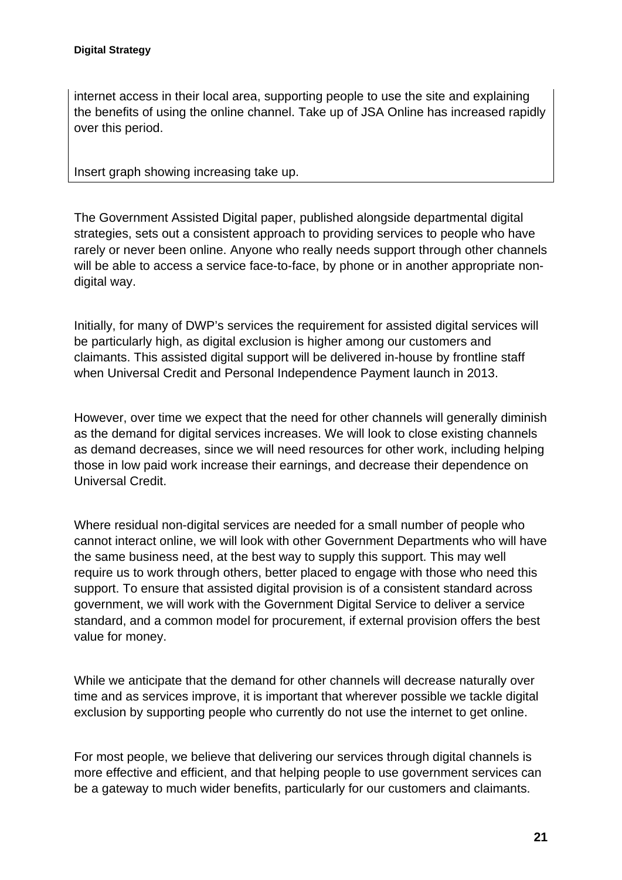internet access in their local area, supporting people to use the site and explaining the benefits of using the online channel. Take up of JSA Online has increased rapidly over this period.

Insert graph showing increasing take up.

The Government Assisted Digital paper, published alongside departmental digital strategies, sets out a consistent approach to providing services to people who have rarely or never been online. Anyone who really needs support through other channels will be able to access a service face-to-face, by phone or in another appropriate nondigital way.

Initially, for many of DWP's services the requirement for assisted digital services will be particularly high, as digital exclusion is higher among our customers and claimants. This assisted digital support will be delivered in-house by frontline staff when Universal Credit and Personal Independence Payment launch in 2013.

However, over time we expect that the need for other channels will generally diminish as the demand for digital services increases. We will look to close existing channels as demand decreases, since we will need resources for other work, including helping those in low paid work increase their earnings, and decrease their dependence on Universal Credit.

Where residual non-digital services are needed for a small number of people who cannot interact online, we will look with other Government Departments who will have the same business need, at the best way to supply this support. This may well require us to work through others, better placed to engage with those who need this support. To ensure that assisted digital provision is of a consistent standard across government, we will work with the Government Digital Service to deliver a service standard, and a common model for procurement, if external provision offers the best value for money.

While we anticipate that the demand for other channels will decrease naturally over time and as services improve, it is important that wherever possible we tackle digital exclusion by supporting people who currently do not use the internet to get online.

For most people, we believe that delivering our services through digital channels is more effective and efficient, and that helping people to use government services can be a gateway to much wider benefits, particularly for our customers and claimants.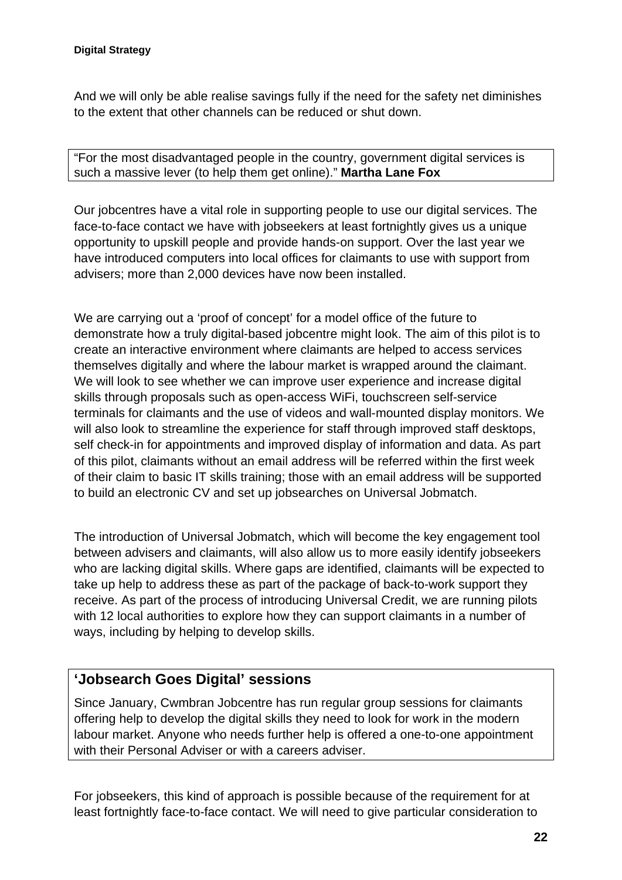#### **Digital Strategy**

And we will only be able realise savings fully if the need for the safety net diminishes to the extent that other channels can be reduced or shut down.

"For the most disadvantaged people in the country, government digital services is such a massive lever (to help them get online)." **Martha Lane Fox**

Our jobcentres have a vital role in supporting people to use our digital services. The face-to-face contact we have with jobseekers at least fortnightly gives us a unique opportunity to upskill people and provide hands-on support. Over the last year we have introduced computers into local offices for claimants to use with support from advisers; more than 2,000 devices have now been installed.

We are carrying out a 'proof of concept' for a model office of the future to demonstrate how a truly digital-based jobcentre might look. The aim of this pilot is to create an interactive environment where claimants are helped to access services themselves digitally and where the labour market is wrapped around the claimant. We will look to see whether we can improve user experience and increase digital skills through proposals such as open-access WiFi, touchscreen self-service terminals for claimants and the use of videos and wall-mounted display monitors. We will also look to streamline the experience for staff through improved staff desktops, self check-in for appointments and improved display of information and data. As part of this pilot, claimants without an email address will be referred within the first week of their claim to basic IT skills training; those with an email address will be supported to build an electronic CV and set up jobsearches on Universal Jobmatch.

The introduction of Universal Jobmatch, which will become the key engagement tool between advisers and claimants, will also allow us to more easily identify jobseekers who are lacking digital skills. Where gaps are identified, claimants will be expected to take up help to address these as part of the package of back-to-work support they receive. As part of the process of introducing Universal Credit, we are running pilots with 12 local authorities to explore how they can support claimants in a number of ways, including by helping to develop skills.

#### **'Jobsearch Goes Digital' sessions**

Since January, Cwmbran Jobcentre has run regular group sessions for claimants offering help to develop the digital skills they need to look for work in the modern labour market. Anyone who needs further help is offered a one-to-one appointment with their Personal Adviser or with a careers adviser.

For jobseekers, this kind of approach is possible because of the requirement for at least fortnightly face-to-face contact. We will need to give particular consideration to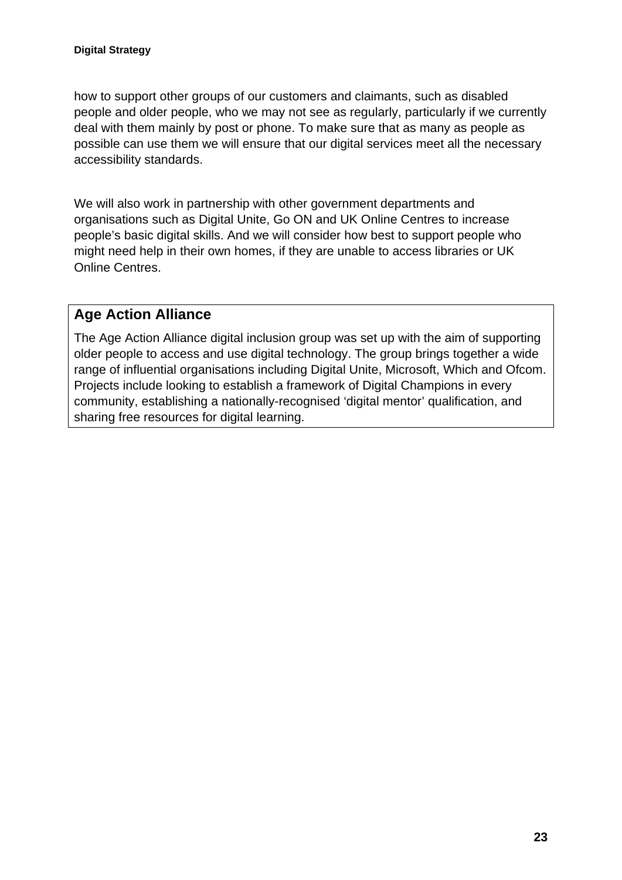how to support other groups of our customers and claimants, such as disabled people and older people, who we may not see as regularly, particularly if we currently deal with them mainly by post or phone. To make sure that as many as people as possible can use them we will ensure that our digital services meet all the necessary accessibility standards.

We will also work in partnership with other government departments and organisations such as Digital Unite, Go ON and UK Online Centres to increase people's basic digital skills. And we will consider how best to support people who might need help in their own homes, if they are unable to access libraries or UK Online Centres.

#### **Age Action Alliance**

The Age Action Alliance digital inclusion group was set up with the aim of supporting older people to access and use digital technology. The group brings together a wide range of influential organisations including Digital Unite, Microsoft, Which and Ofcom. Projects include looking to establish a framework of Digital Champions in every community, establishing a nationally-recognised 'digital mentor' qualification, and sharing free resources for digital learning.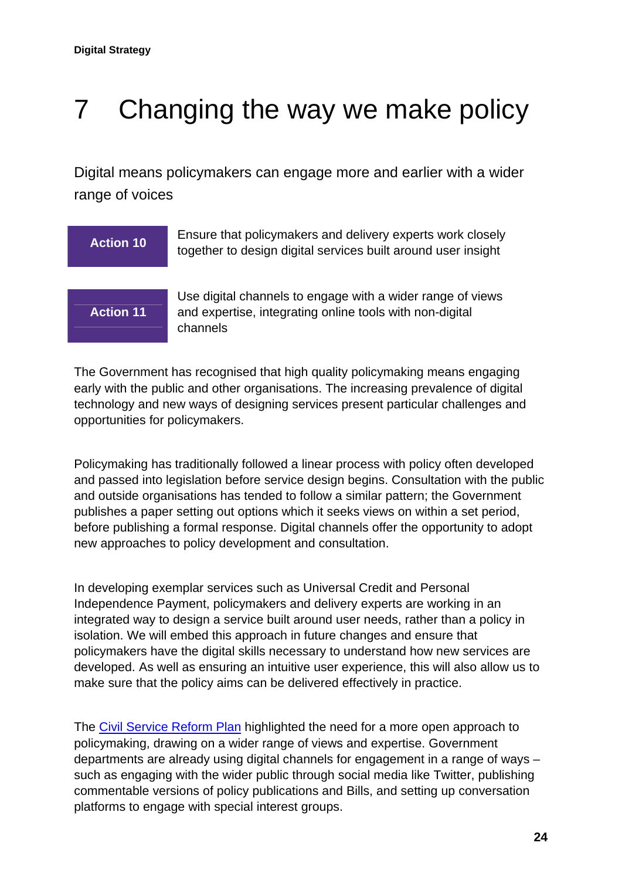## <span id="page-23-0"></span>7 Changing the way we make policy

Digital means policymakers can engage more and earlier with a wider range of voices

| <b>Action 10</b> | Ensure that policymakers and delivery experts work closely<br>together to design digital services built around user insight        |
|------------------|------------------------------------------------------------------------------------------------------------------------------------|
| <b>Action 11</b> | Use digital channels to engage with a wider range of views<br>and expertise, integrating online tools with non-digital<br>channels |

The Government has recognised that high quality policymaking means engaging early with the public and other organisations. The increasing prevalence of digital technology and new ways of designing services present particular challenges and opportunities for policymakers.

Policymaking has traditionally followed a linear process with policy often developed and passed into legislation before service design begins. Consultation with the public and outside organisations has tended to follow a similar pattern; the Government publishes a paper setting out options which it seeks views on within a set period, before publishing a formal response. Digital channels offer the opportunity to adopt new approaches to policy development and consultation.

In developing exemplar services such as Universal Credit and Personal Independence Payment, policymakers and delivery experts are working in an integrated way to design a service built around user needs, rather than a policy in isolation. We will embed this approach in future changes and ensure that policymakers have the digital skills necessary to understand how new services are developed. As well as ensuring an intuitive user experience, this will also allow us to make sure that the policy aims can be delivered effectively in practice.

The [Civil Service Reform Plan](http://resources.civilservice.gov.uk/wp-content/uploads/2012/06/Civil-Service-Reform-Plan-acc-final.pdf) highlighted the need for a more open approach to policymaking, drawing on a wider range of views and expertise. Government departments are already using digital channels for engagement in a range of ways – such as engaging with the wider public through social media like Twitter, publishing commentable versions of policy publications and Bills, and setting up conversation platforms to engage with special interest groups.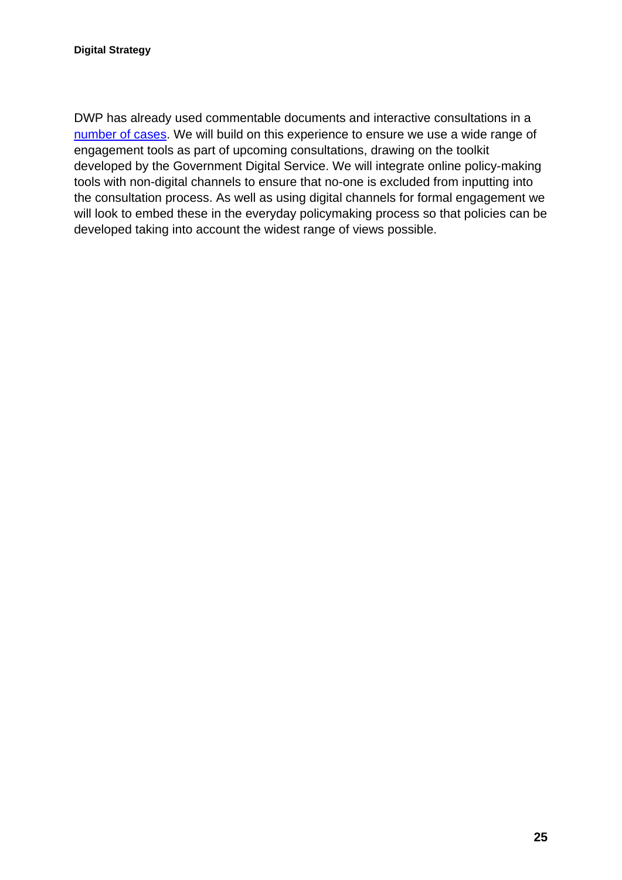DWP has already used commentable documents and interactive consultations in a [number of cases.](https://interactive.dwp.gov.uk/) We will build on this experience to ensure we use a wide range of engagement tools as part of upcoming consultations, drawing on the toolkit developed by the Government Digital Service. We will integrate online policy-making tools with non-digital channels to ensure that no-one is excluded from inputting into the consultation process. As well as using digital channels for formal engagement we will look to embed these in the everyday policymaking process so that policies can be developed taking into account the widest range of views possible.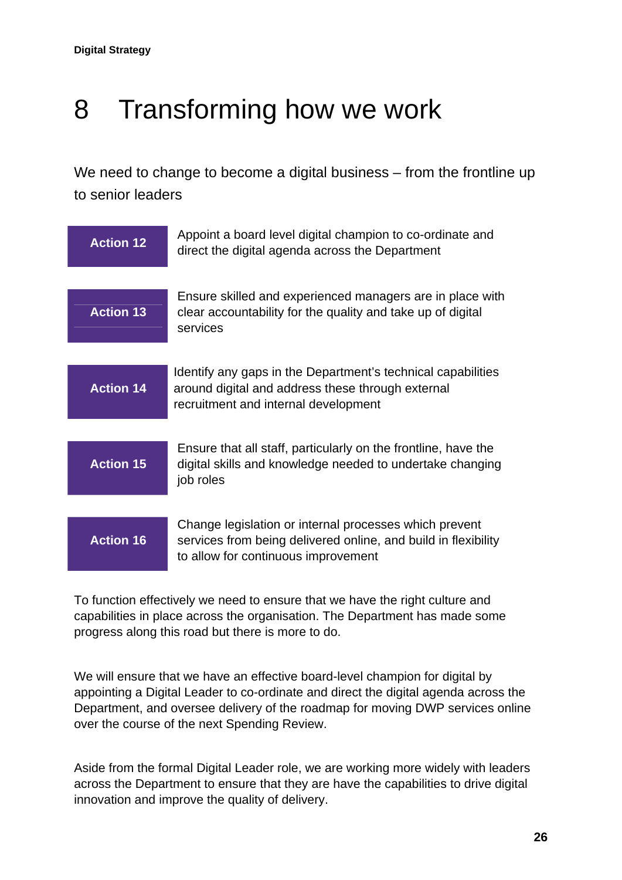### <span id="page-25-0"></span>8 Transforming how we work

We need to change to become a digital business – from the frontline up to senior leaders

| <b>Action 12</b> | Appoint a board level digital champion to co-ordinate and<br>direct the digital agenda across the Department                                                    |
|------------------|-----------------------------------------------------------------------------------------------------------------------------------------------------------------|
| <b>Action 13</b> | Ensure skilled and experienced managers are in place with<br>clear accountability for the quality and take up of digital<br>services                            |
| <b>Action 14</b> | Identify any gaps in the Department's technical capabilities<br>around digital and address these through external<br>recruitment and internal development       |
| <b>Action 15</b> | Ensure that all staff, particularly on the frontline, have the<br>digital skills and knowledge needed to undertake changing<br>job roles                        |
| <b>Action 16</b> | Change legislation or internal processes which prevent<br>services from being delivered online, and build in flexibility<br>to allow for continuous improvement |

To function effectively we need to ensure that we have the right culture and capabilities in place across the organisation. The Department has made some progress along this road but there is more to do.

We will ensure that we have an effective board-level champion for digital by appointing a Digital Leader to co-ordinate and direct the digital agenda across the Department, and oversee delivery of the roadmap for moving DWP services online over the course of the next Spending Review.

Aside from the formal Digital Leader role, we are working more widely with leaders across the Department to ensure that they are have the capabilities to drive digital innovation and improve the quality of delivery.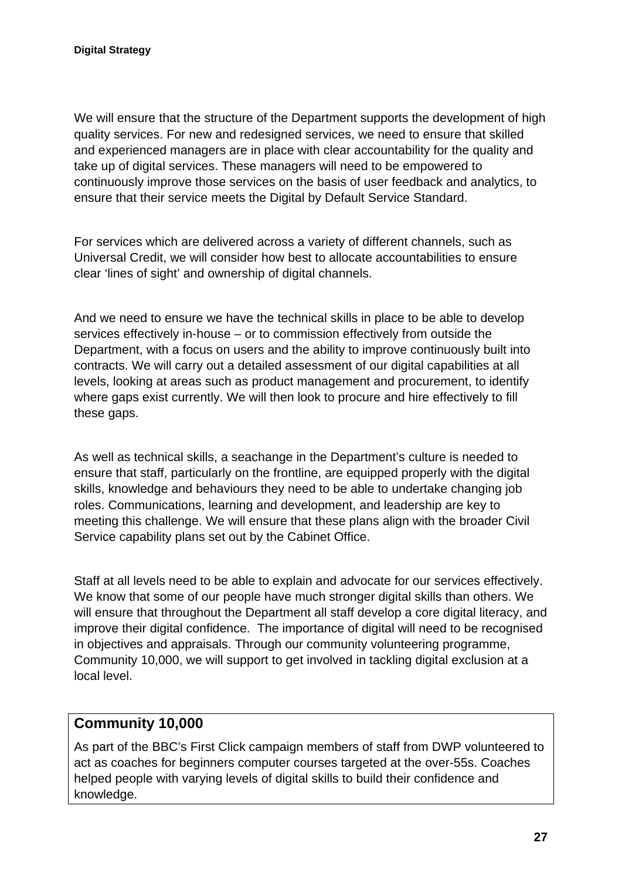We will ensure that the structure of the Department supports the development of high quality services. For new and redesigned services, we need to ensure that skilled and experienced managers are in place with clear accountability for the quality and take up of digital services. These managers will need to be empowered to continuously improve those services on the basis of user feedback and analytics, to ensure that their service meets the Digital by Default Service Standard.

For services which are delivered across a variety of different channels, such as Universal Credit, we will consider how best to allocate accountabilities to ensure clear 'lines of sight' and ownership of digital channels.

And we need to ensure we have the technical skills in place to be able to develop services effectively in-house – or to commission effectively from outside the Department, with a focus on users and the ability to improve continuously built into contracts. We will carry out a detailed assessment of our digital capabilities at all levels, looking at areas such as product management and procurement, to identify where gaps exist currently. We will then look to procure and hire effectively to fill these gaps.

As well as technical skills, a seachange in the Department's culture is needed to ensure that staff, particularly on the frontline, are equipped properly with the digital skills, knowledge and behaviours they need to be able to undertake changing job roles. Communications, learning and development, and leadership are key to meeting this challenge. We will ensure that these plans align with the broader Civil Service capability plans set out by the Cabinet Office.

Staff at all levels need to be able to explain and advocate for our services effectively. We know that some of our people have much stronger digital skills than others. We will ensure that throughout the Department all staff develop a core digital literacy, and improve their digital confidence. The importance of digital will need to be recognised in objectives and appraisals. Through our community volunteering programme, Community 10,000, we will support to get involved in tackling digital exclusion at a local level.

#### **Community 10,000**

As part of the BBC's First Click campaign members of staff from DWP volunteered to act as coaches for beginners computer courses targeted at the over-55s. Coaches helped people with varying levels of digital skills to build their confidence and knowledge.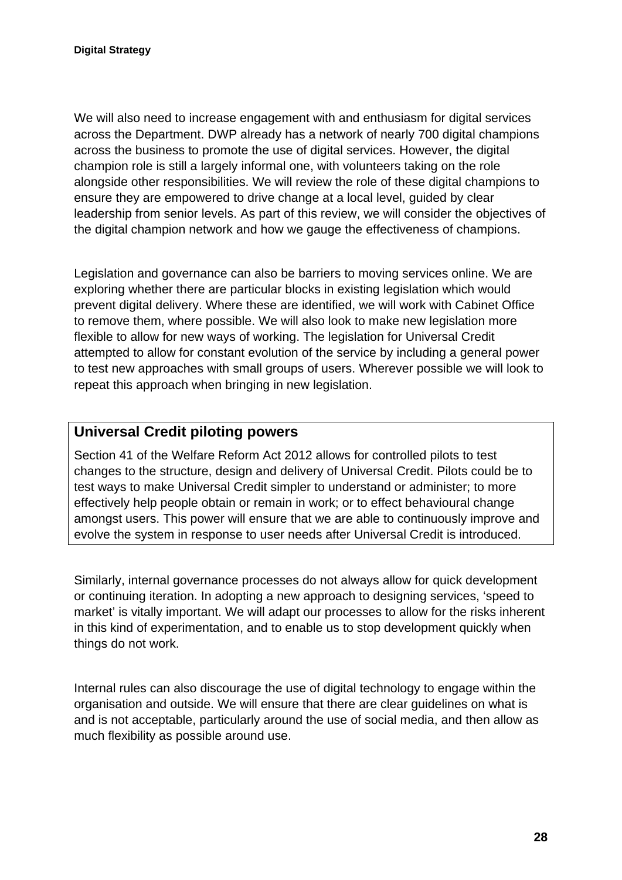We will also need to increase engagement with and enthusiasm for digital services across the Department. DWP already has a network of nearly 700 digital champions across the business to promote the use of digital services. However, the digital champion role is still a largely informal one, with volunteers taking on the role alongside other responsibilities. We will review the role of these digital champions to ensure they are empowered to drive change at a local level, guided by clear leadership from senior levels. As part of this review, we will consider the objectives of the digital champion network and how we gauge the effectiveness of champions.

Legislation and governance can also be barriers to moving services online. We are exploring whether there are particular blocks in existing legislation which would prevent digital delivery. Where these are identified, we will work with Cabinet Office to remove them, where possible. We will also look to make new legislation more flexible to allow for new ways of working. The legislation for Universal Credit attempted to allow for constant evolution of the service by including a general power to test new approaches with small groups of users. Wherever possible we will look to repeat this approach when bringing in new legislation.

#### **Universal Credit piloting powers**

Section 41 of the Welfare Reform Act 2012 allows for controlled pilots to test changes to the structure, design and delivery of Universal Credit. Pilots could be to test ways to make Universal Credit simpler to understand or administer; to more effectively help people obtain or remain in work; or to effect behavioural change amongst users. This power will ensure that we are able to continuously improve and evolve the system in response to user needs after Universal Credit is introduced.

Similarly, internal governance processes do not always allow for quick development or continuing iteration. In adopting a new approach to designing services, 'speed to market' is vitally important. We will adapt our processes to allow for the risks inherent in this kind of experimentation, and to enable us to stop development quickly when things do not work.

Internal rules can also discourage the use of digital technology to engage within the organisation and outside. We will ensure that there are clear guidelines on what is and is not acceptable, particularly around the use of social media, and then allow as much flexibility as possible around use.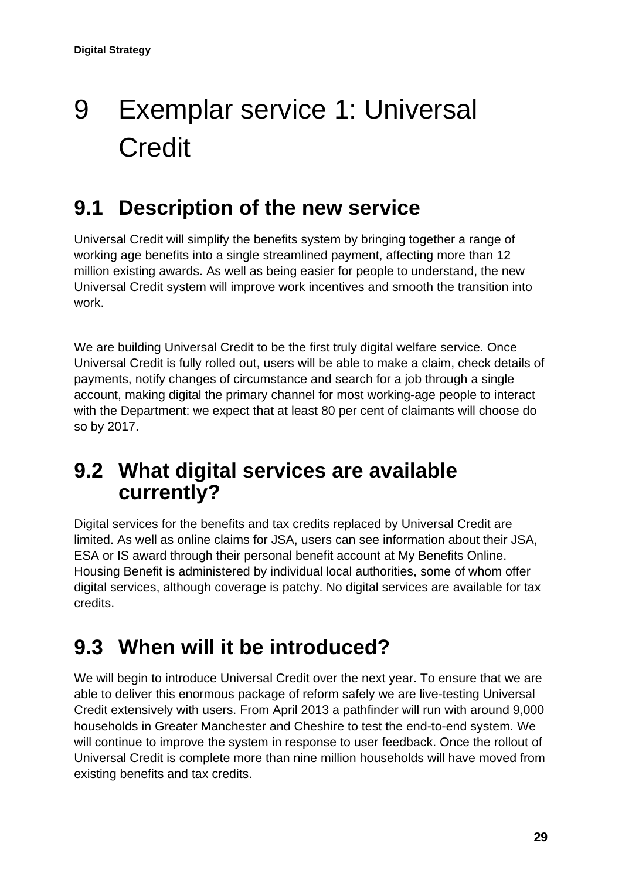## <span id="page-28-0"></span>9 Exemplar service 1: Universal **Credit**

### **9.1 Description of the new service**

Universal Credit will simplify the benefits system by bringing together a range of working age benefits into a single streamlined payment, affecting more than 12 million existing awards. As well as being easier for people to understand, the new Universal Credit system will improve work incentives and smooth the transition into work.

We are building Universal Credit to be the first truly digital welfare service. Once Universal Credit is fully rolled out, users will be able to make a claim, check details of payments, notify changes of circumstance and search for a job through a single account, making digital the primary channel for most working-age people to interact with the Department: we expect that at least 80 per cent of claimants will choose do so by 2017.

### **9.2 What digital services are available currently?**

Digital services for the benefits and tax credits replaced by Universal Credit are limited. As well as online claims for JSA, users can see information about their JSA, ESA or IS award through their personal benefit account at My Benefits Online. Housing Benefit is administered by individual local authorities, some of whom offer digital services, although coverage is patchy. No digital services are available for tax credits.

### **9.3 When will it be introduced?**

We will begin to introduce Universal Credit over the next year. To ensure that we are able to deliver this enormous package of reform safely we are live-testing Universal Credit extensively with users. From April 2013 a pathfinder will run with around 9,000 households in Greater Manchester and Cheshire to test the end-to-end system. We will continue to improve the system in response to user feedback. Once the rollout of Universal Credit is complete more than nine million households will have moved from existing benefits and tax credits.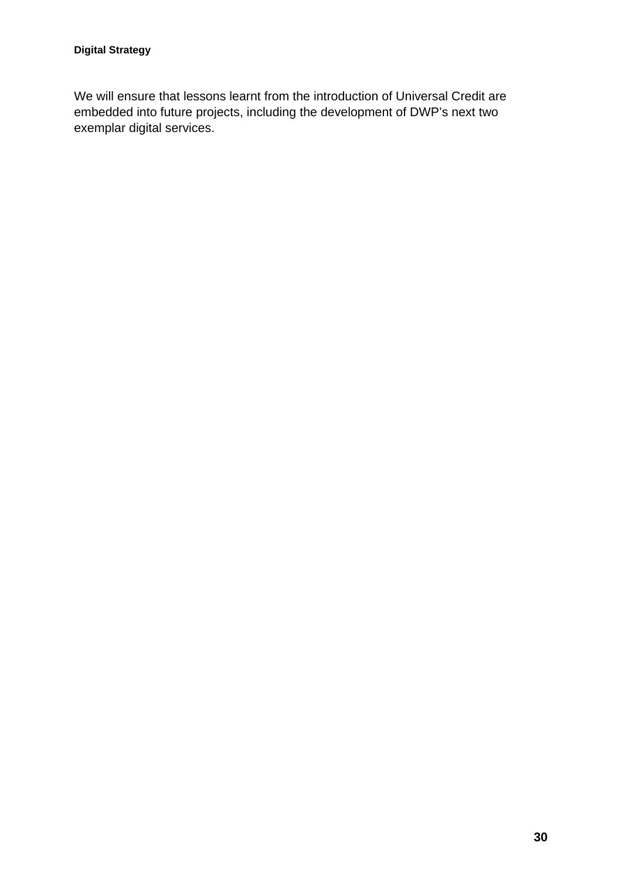We will ensure that lessons learnt from the introduction of Universal Credit are embedded into future projects, including the development of DWP's next two exemplar digital services.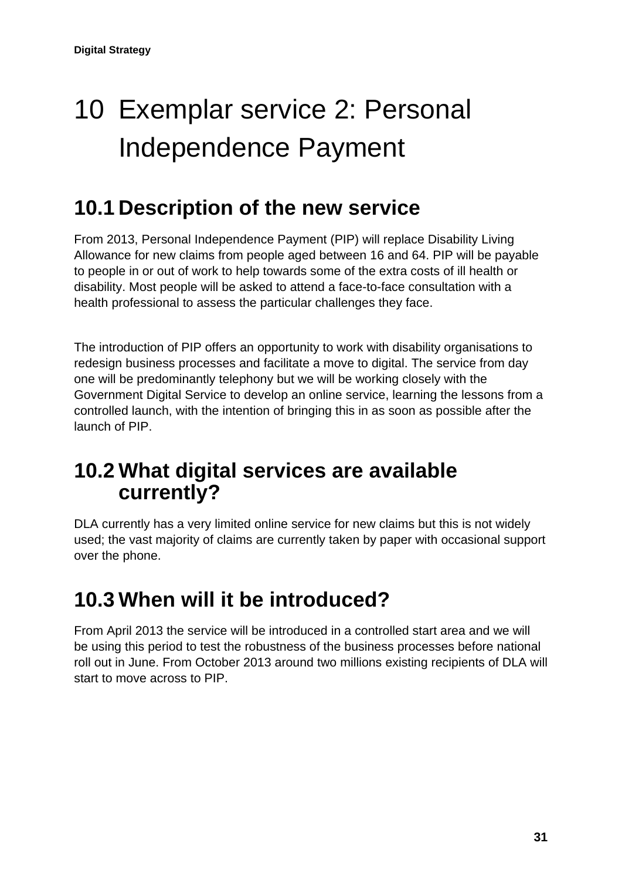## <span id="page-30-0"></span>10 Exemplar service 2: Personal Independence Payment

### **10.1 Description of the new service**

From 2013, Personal Independence Payment (PIP) will replace Disability Living Allowance for new claims from people aged between 16 and 64. PIP will be payable to people in or out of work to help towards some of the extra costs of ill health or disability. Most people will be asked to attend a face-to-face consultation with a health professional to assess the particular challenges they face.

The introduction of PIP offers an opportunity to work with disability organisations to redesign business processes and facilitate a move to digital. The service from day one will be predominantly telephony but we will be working closely with the Government Digital Service to develop an online service, learning the lessons from a controlled launch, with the intention of bringing this in as soon as possible after the launch of PIP.

### **10.2 What digital services are available currently?**

DLA currently has a very limited online service for new claims but this is not widely used; the vast majority of claims are currently taken by paper with occasional support over the phone.

### **10.3 When will it be introduced?**

From April 2013 the service will be introduced in a controlled start area and we will be using this period to test the robustness of the business processes before national roll out in June. From October 2013 around two millions existing recipients of DLA will start to move across to PIP.